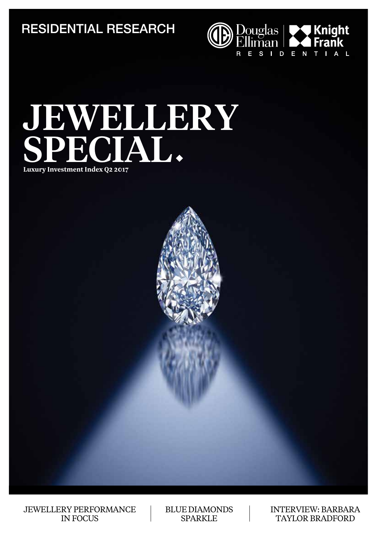RESIDENTIAL RESEARCH



# JEWELLERY SPECIAL

**Luxury Investment Index Q2 2017**



JEWELLERY PERFORMANCE IN FOCUS

BLUE DIAMONDS **SPARKLE** 

INTERVIEW: BARBARA TAYLOR BRADFORD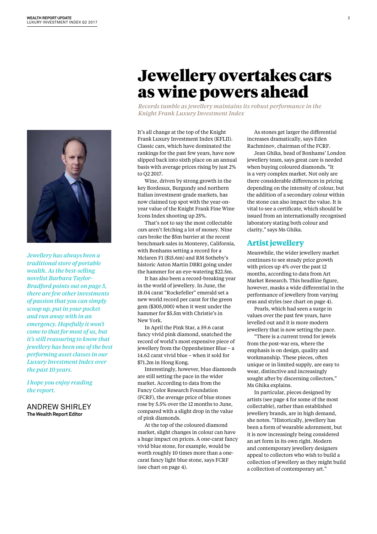

*Jewellery has always been a traditional store of portable wealth. As the best-selling novelist Barbara Taylor-Bradford points out on page 5, there are few other investments of passion that you can simply scoop up, put in your pocket and run away with in an emergency. Hopefully it won't come to that for most of us, but it's still reassuring to know that jewellery has been one of the best performing asset classes in our Luxury Investment Index over the past 10 years.*

*I hope you enjoy reading the report.*

#### ANDREW SHIRLEY **The Wealth Report Editor**

## Jewellery overtakes cars as wine powers ahead

*Records tumble as jewellery maintains its robust performance in the Knight Frank Luxury Investment Index*

It's all change at the top of the Knight Frank Luxury Investment Index (KFLII). Classic cars, which have dominated the rankings for the past few years, have now slipped back into sixth place on an annual basis with average prices rising by just 2% to Q2 2017.

Wine, driven by strong growth in the key Bordeaux, Burgundy and northern Italian investment-grade markets, has now claimed top spot with the year-onyear value of the Knight Frank Fine Wine Icons Index shooting up 25%.

That's not to say the most collectable cars aren't fetching a lot of money. Nine cars broke the \$5m barrier at the recent benchmark sales in Monterey, California, with Bonhams setting a record for a Mclaren F1 (\$15.6m) and RM Sotheby's historic Aston Martin DBR1 going under the hammer for an eye-watering \$22.5m.

It has also been a record-breaking year in the world of jewellery. In June, the 18.04 carat "Rockefeller" emerald set a new world record per carat for the green gem (\$305,000) when it went under the hammer for \$5.5m with Christie's in New York.

In April the Pink Star, a 59.6 carat fancy vivid pink diamond, snatched the record of world's most expensive piece of jewellery from the Oppenheimer Blue – a 14.62 carat vivid blue – when it sold for \$71.2m in Hong Kong.

Interestingly, however, blue diamonds are still setting the pace in the wider market. According to data from the Fancy Color Research Foundation (FCRF), the average price of blue stones rose by 5.5% over the 12 months to June, compared with a slight drop in the value of pink diamonds.

At the top of the coloured diamond market, slight changes in colour can have a huge impact on prices. A one-carat fancy vivid blue stone, for example, would be worth roughly 10 times more than a onecarat fancy light blue stone, says FCRF (see chart on page 4).

As stones get larger the differential increases dramatically, says Eden Rachminov, chairman of the FCRF.

Jean Ghika, head of Bonhams' London jewellery team, says great care is needed when buying coloured diamonds. "It is a very complex market. Not only are there considerable differences in pricing depending on the intensity of colour, but the addition of a secondary colour within the stone can also impact the value. It is vital to see a certificate, which should be issued from an internationally recognised laboratory stating both colour and clarity," says Ms Ghika.

#### **Artist jewellery**

Meanwhile, the wider jewellery market continues to see steady price growth with prices up 4% over the past 12 months, according to data from Art Market Research. This headline figure, however, masks a wide differential in the performance of jewellery from varying eras and styles (see chart on page 4).

Pearls, which had seen a surge in values over the past few years, have levelled out and it is more modern jewellery that is now setting the pace.

"There is a current trend for jewels from the post-war era, where the emphasis is on design, quality and workmanship. These pieces, often unique or in limited supply, are easy to wear, distinctive and increasingly sought after by discerning collectors," Ms Ghika explains.

In particular, pieces designed by artists (see page 4 for some of the most collectable), rather than established jewellery brands, are in high demand, she notes. "Historically, jewellery has been a form of wearable adornment, but it is now increasingly being considered an art form in its own right. Modern and contemporary jewellery designers appeal to collectors who wish to build a collection of jewellery as they might build a collection of contemporary art."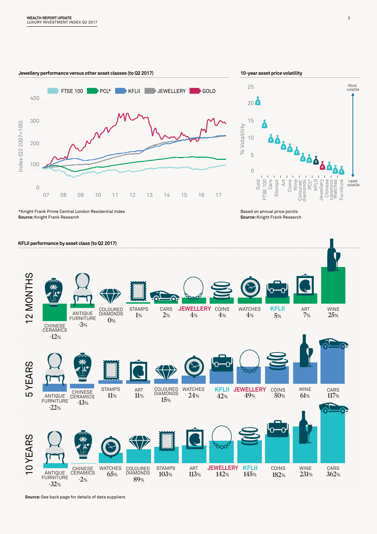

**Source:** Knight Frank Research \*Knight Frank Prime Central London Residential Index

**Source:** Knight Frank Research Based on annual price points



Most volatile

Least volatile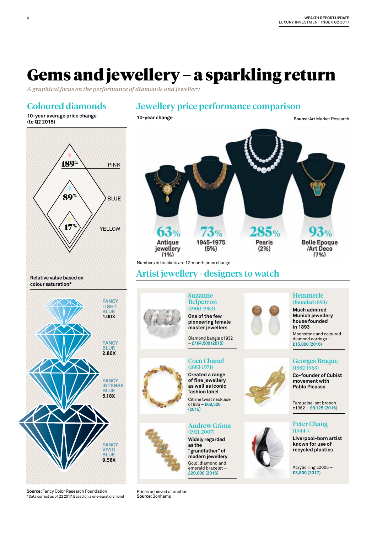# Gems and jewellery – a sparkling return

*A graphical focus on the performance of diamonds and jewellery* 

### Coloured diamonds

### Jewellery price performance comparison

**10-year change Source:** Art Market Research

**10-year average price change (to Q2 2015)**

4



**Source:** Fancy Color Research Foundation \*Data correct as of Q2 2017. Based on a one-carat diamond



Gold, diamond and emerald bracelet – **£20,000 (2016)**

Acrylic ring c2005 – **£3,500 (2017)**

**Source:** Bonhams Prices achieved at auction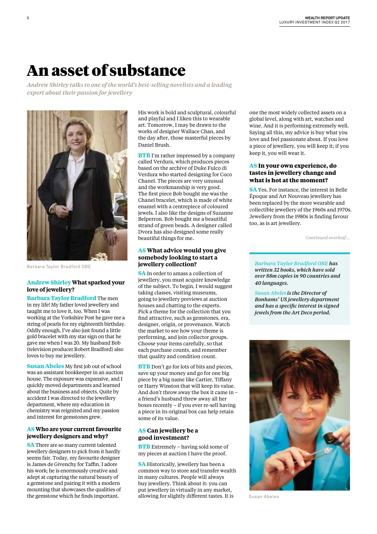### An asset of substance

*Andrew Shirley talks to one of the world's best-selling novelists and a leading expert about their passion for jewellery* 



Barbara Taylor Bradford OBE

#### **Andrew Shirley What sparked your love of jewellery?**

**Barbara Taylor Bradford** The men in my life! My father loved jewellery and taught me to love it, too. When I was working at the Yorkshire Post he gave me a string of pearls for my eighteenth birthday. Oddly enough, I've also just found a little gold bracelet with my star sign on that he gave me when I was 20. My husband Bob (television producer Robert Bradford) also loves to buy me jewellery.

**Susan Abeles** My first job out of school was an assistant bookkeeper in an auction house. The exposure was expansive, and I quickly moved departments and learned about the business and objects. Quite by accident I was directed to the jewellery department, where my education in chemistry was reignited and my passion and interest for gemstones grew.

#### **AS Who are your current favourite jewellery designers and why?**

**SA** There are so many current talented jewellery designers to pick from it hardly seems fair. Today, my favourite designer is James de Givenchy for Taffin. I adore his work; he is enormously creative and adept at capturing the natural beauty of a gemstone and pairing it with a modern mounting that showcases the qualities of the gemstone which he finds important.

His work is bold and sculptural, colourful and playful and I liken this to wearable art. Tomorrow, I may be drawn to the works of designer Wallace Chan, and the day after, those masterful pieces by Daniel Brush.

**BTB** I'm rather impressed by a company called Verdura, which produces pieces based on the archive of Duke Fulco di Verdura who started designing for Coco Chanel. The pieces are very unusual and the workmanship is very good. The first piece Bob bought me was the Chanel bracelet, which is made of white enamel with a centrepiece of coloured jewels. I also like the designs of Suzanne Belperron. Bob bought me a beautiful strand of green beads. A designer called Dvora has also designed some really beautiful things for me.

#### **AS What advice would you give somebody looking to start a jewellery collection?**

**SA** In order to amass a collection of jewellery, you must acquire knowledge of the subject. To begin, I would suggest taking classes, visiting museums, going to jewellery previews at auction houses and chatting to the experts. Pick a theme for the collection that you find attractive, such as gemstones, era, designer, origin, or provenance. Watch the market to see how your theme is performing, and join collector groups. Choose your items carefully, so that each purchase counts, and remember that quality and condition count.

**BTB** Don't go for lots of bits and pieces, save up your money and go for one big piece by a big name like Cartier, Tiffany or Harry Winston that will keep its value. And don't throw away the box it came in – a friend's husband threw away all her boxes recently – if you ever re-sell having a piece in its original box can help retain some of its value.

#### **AS Can jewellery be a good investment?**

**BTB** Extremely – having sold some of my pieces at auction I have the proof.

**SA** Historically, jewellery has been a common way to store and transfer wealth in many cultures. People will always buy jewellery. Think about it: you can put jewellery in virtually in any market, allowing for slightly different tastes. It is

one the most widely collected assets on a global level, along with art, watches and wine. And it is performing extremely well. Saying all this, my advice is buy what you love and feel passionate about. If you love a piece of jewellery, you will keep it; if you keep it, you will wear it.

#### **AS In your own experience, do tastes in jewellery change and what is hot at the moment?**

**SA** Yes. For instance, the interest in Belle Époque and Art Nouveau jewellery has been replaced by the more wearable and collectible jewellery of the 1960s and 1970s. Jewellery from the 1980s is finding favour too, as is art jewellery.

*Continued overleaf…*

*Barbara Taylor Bradford OBE has written 32 books, which have sold over 88m copies in 90 countries and 40 languages.*

*Susan Abeles is the Director of Bonhams' US jewellery department and has a specific interest in signed jewels from the Art Deco period.* 



Susan Abeles